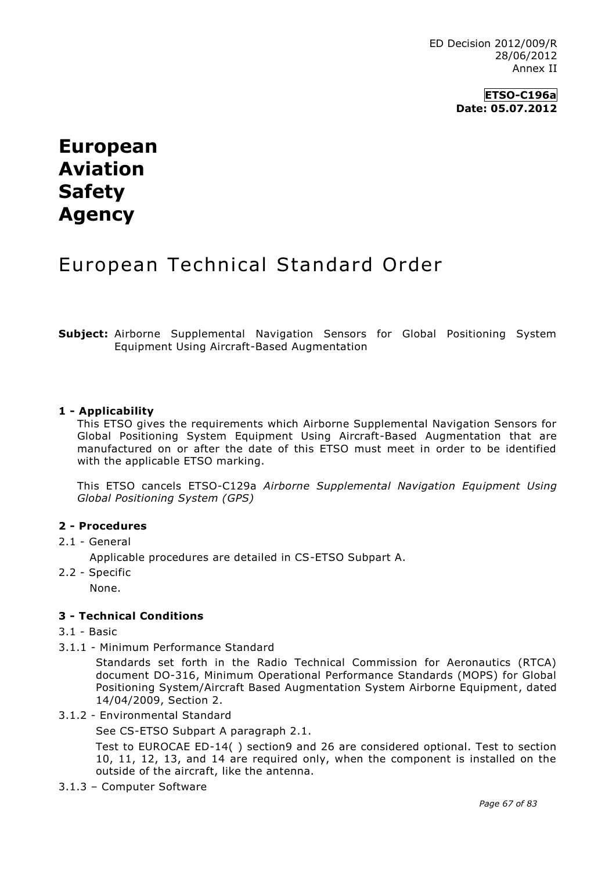**ETSO-C196a Date: 05.07.2012**

# **European Aviation Safety Agency**

# European Technical Standard Order

**Subject:** Airborne Supplemental Navigation Sensors for Global Positioning System Equipment Using Aircraft-Based Augmentation

### **1 - Applicability**

This ETSO gives the requirements which Airborne Supplemental Navigation Sensors for Global Positioning System Equipment Using Aircraft-Based Augmentation that are manufactured on or after the date of this ETSO must meet in order to be identified with the applicable ETSO marking.

This ETSO cancels ETSO-C129a *Airborne Supplemental Navigation Equipment Using Global Positioning System (GPS)*

#### **2 - Procedures**

2.1 - General

Applicable procedures are detailed in CS-ETSO Subpart A.

2.2 - Specific

None.

# **3 - Technical Conditions**

- 3.1 Basic
- 3.1.1 Minimum Performance Standard

Standards set forth in the Radio Technical Commission for Aeronautics (RTCA) document DO-316, Minimum Operational Performance Standards (MOPS) for Global Positioning System/Aircraft Based Augmentation System Airborne Equipment, dated 14/04/2009, Section 2.

3.1.2 - Environmental Standard

See CS-ETSO Subpart A paragraph 2.1.

Test to EUROCAE ED-14( ) section9 and 26 are considered optional. Test to section 10, 11, 12, 13, and 14 are required only, when the component is installed on the outside of the aircraft, like the antenna.

3.1.3 – Computer Software